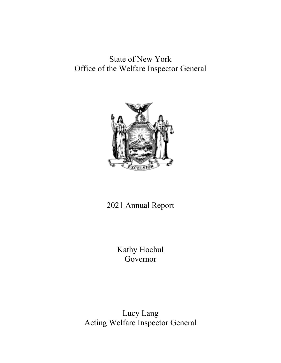# State of New York Office of the Welfare Inspector General



# 2021 Annual Report

Kathy Hochul Governor

Lucy Lang Acting Welfare Inspector General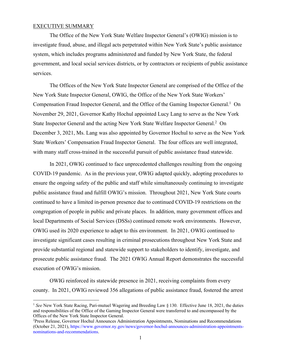### EXECUTIVE SUMMARY

The Office of the New York State Welfare Inspector General's (OWIG) mission is to investigate fraud, abuse, and illegal acts perpetrated within New York State's public assistance system, which includes programs administered and funded by New York State, the federal government, and local social services districts, or by contractors or recipients of public assistance services.

The Offices of the New York State Inspector General are comprised of the Office of the New York State Inspector General, OWIG, the Office of the New York State Workers' Compensation Fraud Inspector General, and the Office of the Gaming Inspector General.<sup>1</sup> On November 29, 2021, Governor Kathy Hochul appointed Lucy Lang to serve as the New York State Inspector General and the acting New York State Welfare Inspector General. 2 On December 3, 2021, Ms. Lang was also appointed by Governor Hochul to serve as the New York State Workers' Compensation Fraud Inspector General. The four offices are well integrated, with many staff cross-trained in the successful pursuit of public assistance fraud statewide.

In 2021, OWIG continued to face unprecedented challenges resulting from the ongoing COVID-19 pandemic. As in the previous year, OWIG adapted quickly, adopting procedures to ensure the ongoing safety of the public and staff while simultaneously continuing to investigate public assistance fraud and fulfill OWIG's mission. Throughout 2021, New York State courts continued to have a limited in-person presence due to continued COVID-19 restrictions on the congregation of people in public and private places. In addition, many government offices and local Departments of Social Services (DSSs) continued remote work environments. However, OWIG used its 2020 experience to adapt to this environment. In 2021, OWIG continued to investigate significant cases resulting in criminal prosecutions throughout New York State and provide substantial regional and statewide support to stakeholders to identify, investigate, and prosecute public assistance fraud. The 2021 OWIG Annual Report demonstrates the successful execution of OWIG's mission.

OWIG reinforced its statewide presence in 2021, receiving complaints from every county. In 2021, OWIG reviewed 356 allegations of public assistance fraud, fostered the arrest

<sup>&</sup>lt;sup>1</sup> See New York State Racing, Pari-mutuel Wagering and Breeding Law § 130. Effective June 18, 2021, the duties and responsibilities of the Office of the Gaming Inspector General were transferred to and encompassed by the Offices of the New York State Inspector General.

<sup>&</sup>lt;sup>2</sup>Press Release, Governor Hochul Announces Administration Appointments, Nominations and Recommendations (October 21, 2021), https://www.governor.ny.gov/news/governor-hochul-announces-administration-appointmentsnominations-and-recommendations.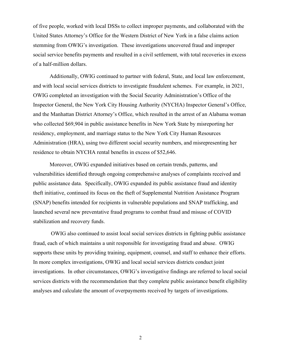of five people, worked with local DSSs to collect improper payments, and collaborated with the United States Attorney's Office for the Western District of New York in a false claims action stemming from OWIG's investigation. These investigations uncovered fraud and improper social service benefits payments and resulted in a civil settlement, with total recoveries in excess of a half-million dollars.

Additionally, OWIG continued to partner with federal, State, and local law enforcement, and with local social services districts to investigate fraudulent schemes. For example, in 2021, OWIG completed an investigation with the Social Security Administration's Office of the Inspector General, the New York City Housing Authority (NYCHA) Inspector General's Office, and the Manhattan District Attorney's Office, which resulted in the arrest of an Alabama woman who collected \$69,904 in public assistance benefits in New York State by misreporting her residency, employment, and marriage status to the New York City Human Resources Administration (HRA), using two different social security numbers, and misrepresenting her residence to obtain NYCHA rental benefits in excess of \$52,646.

Moreover, OWIG expanded initiatives based on certain trends, patterns, and vulnerabilities identified through ongoing comprehensive analyses of complaints received and public assistance data. Specifically, OWIG expanded its public assistance fraud and identity theft initiative, continued its focus on the theft of Supplemental Nutrition Assistance Program (SNAP) benefits intended for recipients in vulnerable populations and SNAP trafficking, and launched several new preventative fraud programs to combat fraud and misuse of COVID stabilization and recovery funds.

OWIG also continued to assist local social services districts in fighting public assistance fraud, each of which maintains a unit responsible for investigating fraud and abuse. OWIG supports these units by providing training, equipment, counsel, and staff to enhance their efforts. In more complex investigations, OWIG and local social services districts conduct joint investigations. In other circumstances, OWIG's investigative findings are referred to local social services districts with the recommendation that they complete public assistance benefit eligibility analyses and calculate the amount of overpayments received by targets of investigations.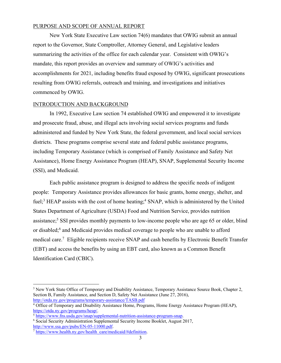## PURPOSE AND SCOPE OF ANNUAL REPORT

New York State Executive Law section 74(6) mandates that OWIG submit an annual report to the Governor, State Comptroller, Attorney General, and Legislative leaders summarizing the activities of the office for each calendar year. Consistent with OWIG's mandate, this report provides an overview and summary of OWIG's activities and accomplishments for 2021, including benefits fraud exposed by OWIG, significant prosecutions resulting from OWIG referrals, outreach and training, and investigations and initiatives commenced by OWIG.

# INTRODUCTION AND BACKGROUND

In 1992, Executive Law section 74 established OWIG and empowered it to investigate and prosecute fraud, abuse, and illegal acts involving social services programs and funds administered and funded by New York State, the federal government, and local social services districts. These programs comprise several state and federal public assistance programs, including Temporary Assistance (which is comprised of Family Assistance and Safety Net Assistance), Home Energy Assistance Program (HEAP), SNAP, Supplemental Security Income (SSI), and Medicaid.

Each public assistance program is designed to address the specific needs of indigent people: Temporary Assistance provides allowances for basic grants, home energy, shelter, and fuel;<sup>3</sup> HEAP assists with the cost of home heating;<sup>4</sup> SNAP, which is administered by the United States Department of Agriculture (USDA) Food and Nutrition Service, provides nutrition assistance;<sup>5</sup> SSI provides monthly payments to low-income people who are age 65 or older, blind or disabled;6 and Medicaid provides medical coverage to people who are unable to afford medical care.7 Eligible recipients receive SNAP and cash benefits by Electronic Benefit Transfer (EBT) and access the benefits by using an EBT card, also known as a Common Benefit Identification Card (CBIC).

<sup>&</sup>lt;sup>3</sup> New York State Office of Temporary and Disability Assistance, Temporary Assistance Source Book, Chapter 2, Section B, Family Assistance, and Section D, Safety Net Assistance (June 27, 2016), http://otda.ny.gov/programs/temporary-assistance/TASB.pdf

<sup>4</sup> Office of Temporary and Disability Assistance Home, Programs, Home Energy Assistance Program (HEAP), https://otda.ny.gov/programs/heap/.

<sup>5</sup> https://www.fns.usda.gov/snap/supplemental-nutrition-assistance-program-snap.

<sup>6</sup> Social Security Administration Supplemental Security Income Booklet, August 2017, http://www.ssa.gov/pubs/EN-05-11000.pdf.

 $\frac{7 \text{ https://www.health.ny.gov/health care/medicaid/#definition}}{7 \text{ https://www.health.ny.gov/health care/medicaid/#definition}}$ .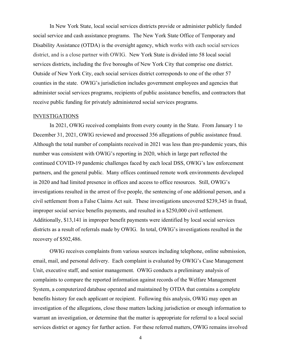In New York State, local social services districts provide or administer publicly funded social service and cash assistance programs. The New York State Office of Temporary and Disability Assistance (OTDA) is the oversight agency, which works with each social services district, and is a close partner with OWIG. New York State is divided into 58 local social services districts, including the five boroughs of New York City that comprise one district. Outside of New York City, each social services district corresponds to one of the other 57 counties in the state. OWIG's jurisdiction includes government employees and agencies that administer social services programs, recipients of public assistance benefits, and contractors that receive public funding for privately administered social services programs.

#### INVESTIGATIONS

In 2021, OWIG received complaints from every county in the State. From January 1 to December 31, 2021, OWIG reviewed and processed 356 allegations of public assistance fraud. Although the total number of complaints received in 2021 was less than pre-pandemic years, this number was consistent with OWIG's reporting in 2020, which in large part reflected the continued COVID-19 pandemic challenges faced by each local DSS, OWIG's law enforcement partners, and the general public. Many offices continued remote work environments developed in 2020 and had limited presence in offices and access to office resources. Still, OWIG's investigations resulted in the arrest of five people, the sentencing of one additional person, and a civil settlement from a False Claims Act suit. These investigations uncovered \$239,345 in fraud, improper social service benefits payments, and resulted in a \$250,000 civil settlement. Additionally, \$13,141 in improper benefit payments were identified by local social services districts as a result of referrals made by OWIG. In total, OWIG's investigations resulted in the recovery of \$502,486.

OWIG receives complaints from various sources including telephone, online submission, email, mail, and personal delivery. Each complaint is evaluated by OWIG's Case Management Unit, executive staff, and senior management. OWIG conducts a preliminary analysis of complaints to compare the reported information against records of the Welfare Management System, a computerized database operated and maintained by OTDA that contains a complete benefits history for each applicant or recipient. Following this analysis, OWIG may open an investigation of the allegations, close those matters lacking jurisdiction or enough information to warrant an investigation, or determine that the matter is appropriate for referral to a local social services district or agency for further action. For these referred matters, OWIG remains involved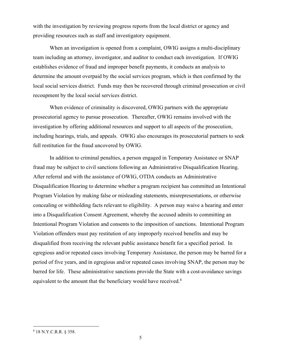with the investigation by reviewing progress reports from the local district or agency and providing resources such as staff and investigatory equipment.

When an investigation is opened from a complaint, OWIG assigns a multi-disciplinary team including an attorney, investigator, and auditor to conduct each investigation. If OWIG establishes evidence of fraud and improper benefit payments, it conducts an analysis to determine the amount overpaid by the social services program, which is then confirmed by the local social services district. Funds may then be recovered through criminal prosecution or civil recoupment by the local social services district.

When evidence of criminality is discovered, OWIG partners with the appropriate prosecutorial agency to pursue prosecution. Thereafter, OWIG remains involved with the investigation by offering additional resources and support to all aspects of the prosecution, including hearings, trials, and appeals. OWIG also encourages its prosecutorial partners to seek full restitution for the fraud uncovered by OWIG.

In addition to criminal penalties, a person engaged in Temporary Assistance or SNAP fraud may be subject to civil sanctions following an Administrative Disqualification Hearing. After referral and with the assistance of OWIG, OTDA conducts an Administrative Disqualification Hearing to determine whether a program recipient has committed an Intentional Program Violation by making false or misleading statements, misrepresentations, or otherwise concealing or withholding facts relevant to eligibility. A person may waive a hearing and enter into a Disqualification Consent Agreement, whereby the accused admits to committing an Intentional Program Violation and consents to the imposition of sanctions. Intentional Program Violation offenders must pay restitution of any improperly received benefits and may be disqualified from receiving the relevant public assistance benefit for a specified period. In egregious and/or repeated cases involving Temporary Assistance, the person may be barred for a period of five years, and in egregious and/or repeated cases involving SNAP, the person may be barred for life. These administrative sanctions provide the State with a cost-avoidance savings equivalent to the amount that the beneficiary would have received.<sup>8</sup>

<sup>8</sup> 18 N.Y.C.R.R. § 358.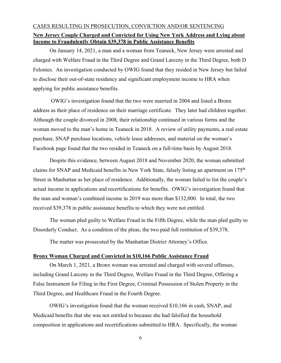# CASES RESULTING IN PROSECUTION, CONVICTION AND/OR SENTENCING **New Jersey Couple Charged and Convicted for Using New York Address and Lying about Income to Fraudulently Obtain \$39,378 in Public Assistance Benefits**

On January 14, 2021, a man and a woman from Teaneck, New Jersey were arrested and charged with Welfare Fraud in the Third Degree and Grand Larceny in the Third Degree, both D Felonies. An investigation conducted by OWIG found that they resided in New Jersey but failed to disclose their out-of-state residency and significant employment income to HRA when applying for public assistance benefits.

OWIG's investigation found that the two were married in 2004 and listed a Bronx address as their place of residence on their marriage certificate. They later had children together. Although the couple divorced in 2008, their relationship continued in various forms and the woman moved to the man's home in Teaneck in 2018. A review of utility payments, a real estate purchase, SNAP purchase locations, vehicle lease addresses, and material on the woman's Facebook page found that the two resided in Teaneck on a full-time basis by August 2018.

Despite this evidence, between August 2018 and November 2020, the woman submitted claims for SNAP and Medicaid benefits in New York State, falsely listing an apartment on 175th Street in Manhattan as her place of residence. Additionally, the woman failed to list the couple's actual income in applications and recertifications for benefits. OWIG's investigation found that the man and woman's combined income in 2019 was more than \$132,000. In total, the two received \$39,378 in public assistance benefits to which they were not entitled.

The woman pled guilty to Welfare Fraud in the Fifth Degree, while the man pled guilty to Disorderly Conduct. As a condition of the pleas, the two paid full restitution of \$39,378.

The matter was prosecuted by the Manhattan District Attorney's Office.

## **Bronx Woman Charged and Convicted in \$10,166 Public Assistance Fraud**

On March 1, 2021, a Bronx woman was arrested and charged with several offenses, including Grand Larceny in the Third Degree, Welfare Fraud in the Third Degree, Offering a False Instrument for Filing in the First Degree, Criminal Possession of Stolen Property in the Third Degree, and Healthcare Fraud in the Fourth Degree.

OWIG's investigation found that the woman received \$10,166 in cash, SNAP, and Medicaid benefits that she was not entitled to because she had falsified the household composition in applications and recertifications submitted to HRA. Specifically, the woman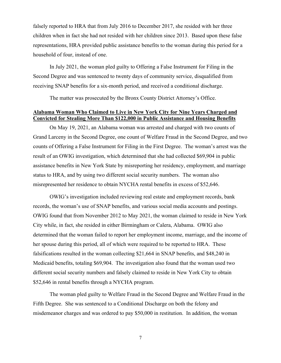falsely reported to HRA that from July 2016 to December 2017, she resided with her three children when in fact she had not resided with her children since 2013. Based upon these false representations, HRA provided public assistance benefits to the woman during this period for a household of four, instead of one.

In July 2021, the woman pled guilty to Offering a False Instrument for Filing in the Second Degree and was sentenced to twenty days of community service, disqualified from receiving SNAP benefits for a six-month period, and received a conditional discharge.

The matter was prosecuted by the Bronx County District Attorney's Office.

# **Alabama Woman Who Claimed to Live in New York City for Nine Years Charged and Convicted for Stealing More Than \$122,000 in Public Assistance and Housing Benefits**

On May 19, 2021, an Alabama woman was arrested and charged with two counts of Grand Larceny in the Second Degree, one count of Welfare Fraud in the Second Degree, and two counts of Offering a False Instrument for Filing in the First Degree. The woman's arrest was the result of an OWIG investigation, which determined that she had collected \$69,904 in public assistance benefits in New York State by misreporting her residency, employment, and marriage status to HRA, and by using two different social security numbers. The woman also misrepresented her residence to obtain NYCHA rental benefits in excess of \$52,646.

OWIG's investigation included reviewing real estate and employment records, bank records, the woman's use of SNAP benefits, and various social media accounts and postings. OWIG found that from November 2012 to May 2021, the woman claimed to reside in New York City while, in fact, she resided in either Birmingham or Calera, Alabama. OWIG also determined that the woman failed to report her employment income, marriage, and the income of her spouse during this period, all of which were required to be reported to HRA. These falsifications resulted in the woman collecting \$21,664 in SNAP benefits, and \$48,240 in Medicaid benefits, totaling \$69,904. The investigation also found that the woman used two different social security numbers and falsely claimed to reside in New York City to obtain \$52,646 in rental benefits through a NYCHA program.

The woman pled guilty to Welfare Fraud in the Second Degree and Welfare Fraud in the Fifth Degree. She was sentenced to a Conditional Discharge on both the felony and misdemeanor charges and was ordered to pay \$50,000 in restitution. In addition, the woman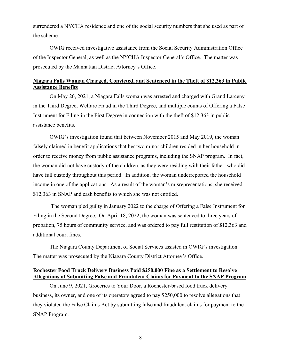surrendered a NYCHA residence and one of the social security numbers that she used as part of the scheme.

OWIG received investigative assistance from the Social Security Administration Office of the Inspector General, as well as the NYCHA Inspector General's Office. The matter was prosecuted by the Manhattan District Attorney's Office.

# **Niagara Falls Woman Charged, Convicted, and Sentenced in the Theft of \$12,363 in Public Assistance Benefits**

On May 20, 2021, a Niagara Falls woman was arrested and charged with Grand Larceny in the Third Degree, Welfare Fraud in the Third Degree, and multiple counts of Offering a False Instrument for Filing in the First Degree in connection with the theft of \$12,363 in public assistance benefits.

OWIG's investigation found that between November 2015 and May 2019, the woman falsely claimed in benefit applications that her two minor children resided in her household in order to receive money from public assistance programs, including the SNAP program. In fact, the woman did not have custody of the children, as they were residing with their father, who did have full custody throughout this period. In addition, the woman underreported the household income in one of the applications. As a result of the woman's misrepresentations, she received \$12,363 in SNAP and cash benefits to which she was not entitled.

The woman pled guilty in January 2022 to the charge of Offering a False Instrument for Filing in the Second Degree. On April 18, 2022, the woman was sentenced to three years of probation, 75 hours of community service, and was ordered to pay full restitution of \$12,363 and additional court fines.

The Niagara County Department of Social Services assisted in OWIG's investigation. The matter was prosecuted by the Niagara County District Attorney's Office.

# **Rochester Food Truck Delivery Business Paid \$250,000 Fine as a Settlement to Resolve Allegations of Submitting False and Fraudulent Claims for Payment to the SNAP Program**

On June 9, 2021, Groceries to Your Door, a Rochester-based food truck delivery business, its owner, and one of its operators agreed to pay \$250,000 to resolve allegations that they violated the False Claims Act by submitting false and fraudulent claims for payment to the SNAP Program.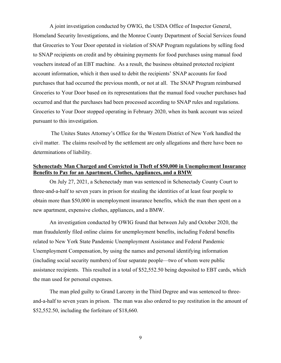A joint investigation conducted by OWIG, the USDA Office of Inspector General, Homeland Security Investigations, and the Monroe County Department of Social Services found that Groceries to Your Door operated in violation of SNAP Program regulations by selling food to SNAP recipients on credit and by obtaining payments for food purchases using manual food vouchers instead of an EBT machine. As a result, the business obtained protected recipient account information, which it then used to debit the recipients' SNAP accounts for food purchases that had occurred the previous month, or not at all. The SNAP Program reimbursed Groceries to Your Door based on its representations that the manual food voucher purchases had occurred and that the purchases had been processed according to SNAP rules and regulations. Groceries to Your Door stopped operating in February 2020, when its bank account was seized pursuant to this investigation.

The Unites States Attorney's Office for the Western District of New York handled the civil matter. The claims resolved by the settlement are only allegations and there have been no determinations of liability.

# **Schenectady Man Charged and Convicted in Theft of \$50,000 in Unemployment Insurance Benefits to Pay for an Apartment, Clothes, Appliances, and a BMW**

On July 27, 2021, a Schenectady man was sentenced in Schenectady County Court to three-and-a-half to seven years in prison for stealing the identities of at least four people to obtain more than \$50,000 in unemployment insurance benefits, which the man then spent on a new apartment, expensive clothes, appliances, and a BMW.

An investigation conducted by OWIG found that between July and October 2020, the man fraudulently filed online claims for unemployment benefits, including Federal benefits related to New York State Pandemic Unemployment Assistance and Federal Pandemic Unemployment Compensation, by using the names and personal identifying information (including social security numbers) of four separate people—two of whom were public assistance recipients. This resulted in a total of \$52,552.50 being deposited to EBT cards, which the man used for personal expenses.

The man pled guilty to Grand Larceny in the Third Degree and was sentenced to threeand-a-half to seven years in prison. The man was also ordered to pay restitution in the amount of \$52,552.50, including the forfeiture of \$18,660.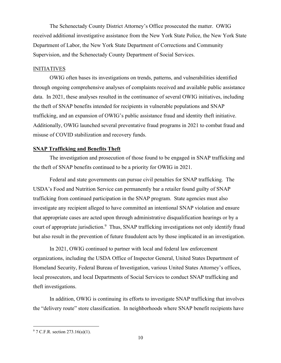The Schenectady County District Attorney's Office prosecuted the matter. OWIG received additional investigative assistance from the New York State Police, the New York State Department of Labor, the New York State Department of Corrections and Community Supervision, and the Schenectady County Department of Social Services.

## **INITIATIVES**

OWIG often bases its investigations on trends, patterns, and vulnerabilities identified through ongoing comprehensive analyses of complaints received and available public assistance data. In 2021, these analyses resulted in the continuance of several OWIG initiatives, including the theft of SNAP benefits intended for recipients in vulnerable populations and SNAP trafficking, and an expansion of OWIG's public assistance fraud and identity theft initiative. Additionally, OWIG launched several preventative fraud programs in 2021 to combat fraud and misuse of COVID stabilization and recovery funds.

## **SNAP Trafficking and Benefits Theft**

The investigation and prosecution of those found to be engaged in SNAP trafficking and the theft of SNAP benefits continued to be a priority for OWIG in 2021.

Federal and state governments can pursue civil penalties for SNAP trafficking. The USDA's Food and Nutrition Service can permanently bar a retailer found guilty of SNAP trafficking from continued participation in the SNAP program. State agencies must also investigate any recipient alleged to have committed an intentional SNAP violation and ensure that appropriate cases are acted upon through administrative disqualification hearings or by a court of appropriate jurisdiction.<sup>9</sup> Thus, SNAP trafficking investigations not only identify fraud but also result in the prevention of future fraudulent acts by those implicated in an investigation.

In 2021, OWIG continued to partner with local and federal law enforcement organizations, including the USDA Office of Inspector General, United States Department of Homeland Security, Federal Bureau of Investigation, various United States Attorney's offices, local prosecutors, and local Departments of Social Services to conduct SNAP trafficking and theft investigations.

In addition, OWIG is continuing its efforts to investigate SNAP trafficking that involves the "delivery route" store classification. In neighborhoods where SNAP benefit recipients have

<sup>9</sup> 7 C.F.R. section 273.16(a)(1).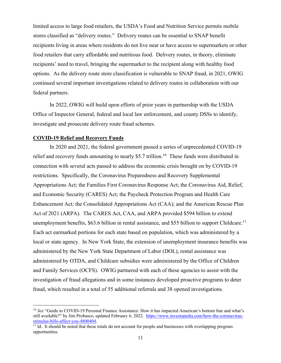limited access to large food retailers, the USDA's Food and Nutrition Service permits mobile stores classified as "delivery routes." Delivery routes can be essential to SNAP benefit recipients living in areas where residents do not live near or have access to supermarkets or other food retailers that carry affordable and nutritious food. Delivery routes, in theory, eliminate recipients' need to travel, bringing the supermarket to the recipient along with healthy food options. As the delivery route store classification is vulnerable to SNAP fraud, in 2021, OWIG continued several important investigations related to delivery routes in collaboration with our federal partners.

In 2022, OWIG will build upon efforts of prior years in partnership with the USDA Office of Inspector General, federal and local law enforcement, and county DSSs to identify, investigate and prosecute delivery route fraud schemes.

### **COVID-19 Relief and Recovery Funds**

In 2020 and 2021, the federal government passed a series of unprecedented COVID-19 relief and recovery funds amounting to nearly \$5.7 trillion.<sup>10</sup> These funds were distributed in connection with several acts passed to address the economic crisis brought on by COVID-19 restrictions. Specifically, the Coronavirus Preparedness and Recovery Supplemental Appropriations Act; the Families First Coronavirus Response Act; the Coronavirus Aid, Relief, and Economic Security (CARES) Act; the Paycheck Protection Program and Health Care Enhancement Act; the Consolidated Appropriations Act (CAA); and the American Rescue Plan Act of 2021 (ARPA). The CARES Act, CAA, and ARPA provided \$594 billion to extend unemployment benefits, \$63.6 billion in rental assistance, and \$55 billion to support Childcare.<sup>11</sup> Each act earmarked portions for each state based on population, which was administered by a local or state agency. In New York State, the extension of unemployment insurance benefits was administered by the New York State Department of Labor (DOL), rental assistance was administered by OTDA, and Childcare subsidies were administered by the Office of Children and Family Services (OCFS). OWIG partnered with each of these agencies to assist with the investigation of fraud allegations and in some instances developed proactive programs to deter fraud, which resulted in a total of 55 additional referrals and 38 opened investigations.

<sup>&</sup>lt;sup>10</sup> *See* "Guide to COVID-19 Personal Finance Assistance: How it has impacted American's bottom line and what's still available?" by Jim Probasco, updated February 6, 2022. https://www.investopedia.com/how-the-coronavirus-<br>stimulus-bills-affect-you-4800404.

 $\frac{11}{11}$  Id. It should be noted that these totals do not account for people and businesses with overlapping program opportunities.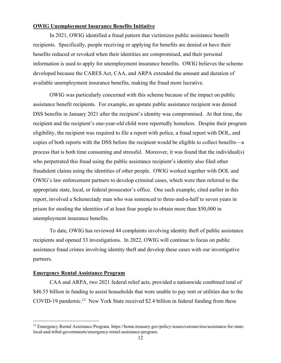# **OWIG Unemployment Insurance Benefits Initiative**

In 2021, OWIG identified a fraud pattern that victimizes public assistance benefit recipients. Specifically, people receiving or applying for benefits are denied or have their benefits reduced or revoked when their identities are compromised, and their personal information is used to apply for unemployment insurance benefits. OWIG believes the scheme developed because the CARES Act, CAA, and ARPA extended the amount and duration of available unemployment insurance benefits, making the fraud more lucrative.

OWIG was particularly concerned with this scheme because of the impact on public assistance benefit recipients. For example, an upstate public assistance recipient was denied DSS benefits in January 2021 after the recipient's identity was compromised. At that time, the recipient and the recipient's one-year-old child were reportedly homeless. Despite their program eligibility, the recipient was required to file a report with police, a fraud report with DOL, and copies of both reports with the DSS before the recipient would be eligible to collect benefits—a process that is both time consuming and stressful. Moreover, it was found that the individual(s) who perpetrated this fraud using the public assistance recipient's identity also filed other fraudulent claims using the identities of other people. OWIG worked together with DOL and OWIG's law enforcement partners to develop criminal cases, which were then referred to the appropriate state, local, or federal prosecutor's office. One such example, cited earlier in this report, involved a Schenectady man who was sentenced to three-and-a-half to seven years in prison for stealing the identities of at least four people to obtain more than \$50,000 in unemployment insurance benefits.

To date, OWIG has reviewed 44 complaints involving identity theft of public assistance recipients and opened 33 investigations. In 2022, OWIG will continue to focus on public assistance fraud crimes involving identity theft and develop these cases with our investigative partners.

# **Emergency Rental Assistance Program**

CAA and ARPA, two 2021 federal relief acts, provided a nationwide combined total of \$46.55 billion in funding to assist households that were unable to pay rent or utilities due to the COVID-19 pandemic.<sup>12</sup> New York State received \$2.4 billion in federal funding from these

<sup>12</sup> Emergency Rental Assistance Program. https://home.treasury.gov/policy-issues/coronavirus/assistance-for-statelocal-and-tribal-governments/emergency-rental-assistance-program.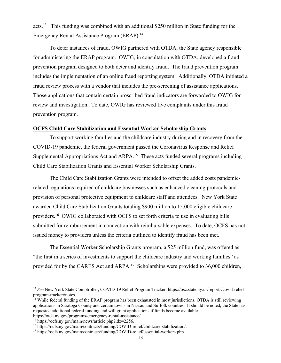acts.<sup>13</sup> This funding was combined with an additional \$250 million in State funding for the Emergency Rental Assistance Program (ERAP). 14

To deter instances of fraud, OWIG partnered with OTDA, the State agency responsible for administering the ERAP program. OWIG, in consultation with OTDA, developed a fraud prevention program designed to both deter and identify fraud. The fraud prevention program includes the implementation of an online fraud reporting system. Additionally, OTDA initiated a fraud review process with a vendor that includes the pre-screening of assistance applications. Those applications that contain certain proscribed fraud indicators are forwarded to OWIG for review and investigation. To date, OWIG has reviewed five complaints under this fraud prevention program.

## **OCFS Child Care Stabilization and Essential Worker Scholarship Grants**

To support working families and the childcare industry during and in recovery from the COVID-19 pandemic, the federal government passed the Coronavirus Response and Relief Supplemental Appropriations Act and ARPA.<sup>15</sup> These acts funded several programs including Child Care Stabilization Grants and Essential Worker Scholarship Grants.

The Child Care Stabilization Grants were intended to offset the added costs pandemicrelated regulations required of childcare businesses such as enhanced cleaning protocols and provision of personal protective equipment to childcare staff and attendees. New York State awarded Child Care Stabilization Grants totaling \$900 million to 15,000 eligible childcare providers.16 OWIG collaborated with OCFS to set forth criteria to use in evaluating bills submitted for reimbursement in connection with reimbursable expenses. To date, OCFS has not issued money to providers unless the criteria outlined to identify fraud has been met.

The Essential Worker Scholarship Grants program, a \$25 million fund, was offered as "the first in a series of investments to support the childcare industry and working families" as provided for by the CARES Act and ARPA.<sup>17</sup> Scholarships were provided to 36,000 children,

<sup>13</sup> *See* New York State Comptroller, COVID-19 Relief Program Tracker, https://osc.state.ny.us/reports/covid-reliefprogram-tracker#notes.

<sup>&</sup>lt;sup>14</sup> While federal funding of the ERAP program has been exhausted in most jurisdictions, OTDA is still reviewing applications in Saratoga County and certain towns in Nassau and Suffolk counties. It should be noted, the State has requested additional federal funding and will grant applications if funds become available. https://otda.ny.gov/programs/emergency-rental-assistance/.

<sup>15</sup> https://ocfs.ny.gov/main/news/article.php?idx=2256.

<sup>16</sup> https://ocfs.ny.gov/main/contracts/funding/COVID-relief/childcare-stabilization/.

<sup>17</sup> https://ocfs.ny.gov/main/contracts/funding/COVID-relief/essential-workers.php.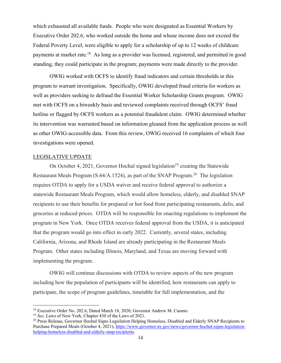which exhausted all available funds. People who were designated as Essential Workers by Executive Order 202.6, who worked outside the home and whose income does not exceed the Federal Poverty Level, were eligible to apply for a scholarship of up to 12 weeks of childcare payments at market rate.<sup>18</sup> As long as a provider was licensed, registered, and permitted in good standing, they could participate in the program; payments were made directly to the provider.

OWIG worked with OCFS to identify fraud indicators and certain thresholds in this program to warrant investigation. Specifically, OWIG developed fraud criteria for workers as well as providers seeking to defraud the Essential Worker Scholarship Grants program. OWIG met with OCFS on a biweekly basis and reviewed complaints received through OCFS' fraud hotline or flagged by OCFS workers as a potential fraudulent claim. OWIG determined whether its intervention was warranted based on information gleaned from the application process as well as other OWIG-accessible data. From this review, OWIG received 16 complaints of which four investigations were opened.

#### LEGISLATIVE UPDATE

On October 4, 2021, Governor Hochul signed legislation<sup>19</sup> creating the Statewide Restaurant Meals Program (S.64/A.1524), as part of the SNAP Program.<sup>20</sup> The legislation requires OTDA to apply for a USDA waiver and receive federal approval to authorize a statewide Restaurant Meals Program, which would allow homeless, elderly, and disabled SNAP recipients to use their benefits for prepared or hot food from participating restaurants, delis, and groceries at reduced prices. OTDA will be responsible for enacting regulations to implement the program in New York. Once OTDA receives federal approval from the USDA, it is anticipated that the program would go into effect in early 2022. Currently, several states, including California, Arizona, and Rhode Island are already participating in the Restaurant Meals Program. Other states including Illinois, Maryland, and Texas are moving forward with implementing the program.

OWIG will continue discussions with OTDA to review aspects of the new program including how the population of participants will be identified, how restaurants can apply to participate, the scope of program guidelines, timetable for full implementation, and the

<sup>18</sup> Executive Order No. 202.6, Dated March 18, 2020, Governor Andrew M. Cuomo. 19 *See,* Laws of New York, Chapter 430 of the Laws of 2021.

<sup>&</sup>lt;sup>20</sup> Press Release, Governor Hochul Signs Legislation Helping Homeless, Disabled and Elderly SNAP Recipients to Purchase Prepared Meals (October 4, 2021), https://www.governor.ny.gov/news/governor-hochul-signs-legislationhelping-homeless-disabled-and-elderly-snap-recipients.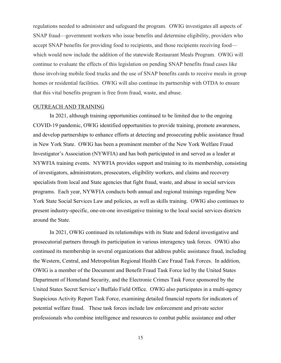regulations needed to administer and safeguard the program. OWIG investigates all aspects of SNAP fraud—government workers who issue benefits and determine eligibility, providers who accept SNAP benefits for providing food to recipients, and those recipients receiving food which would now include the addition of the statewide Restaurant Meals Program. OWIG will continue to evaluate the effects of this legislation on pending SNAP benefits fraud cases like those involving mobile food trucks and the use of SNAP benefits cards to receive meals in group homes or residential facilities. OWIG will also continue its partnership with OTDA to ensure that this vital benefits program is free from fraud, waste, and abuse.

#### OUTREACH AND TRAINING

In 2021, although training opportunities continued to be limited due to the ongoing COVID-19 pandemic, OWIG identified opportunities to provide training, promote awareness, and develop partnerships to enhance efforts at detecting and prosecuting public assistance fraud in New York State. OWIG has been a prominent member of the New York Welfare Fraud Investigator's Association (NYWFIA) and has both participated in and served as a leader at NYWFIA training events. NYWFIA provides support and training to its membership, consisting of investigators, administrators, prosecutors, eligibility workers, and claims and recovery specialists from local and State agencies that fight fraud, waste, and abuse in social services programs. Each year, NYWFIA conducts both annual and regional trainings regarding New York State Social Services Law and policies, as well as skills training. OWIG also continues to present industry-specific, one-on-one investigative training to the local social services districts around the State.

In 2021, OWIG continued its relationships with its State and federal investigative and prosecutorial partners through its participation in various interagency task forces. OWIG also continued its membership in several organizations that address public assistance fraud, including the Western, Central, and Metropolitan Regional Health Care Fraud Task Forces. In addition, OWIG is a member of the Document and Benefit Fraud Task Force led by the United States Department of Homeland Security, and the Electronic Crimes Task Force sponsored by the United States Secret Service's Buffalo Field Office. OWIG also participates in a multi-agency Suspicious Activity Report Task Force, examining detailed financial reports for indicators of potential welfare fraud. These task forces include law enforcement and private sector professionals who combine intelligence and resources to combat public assistance and other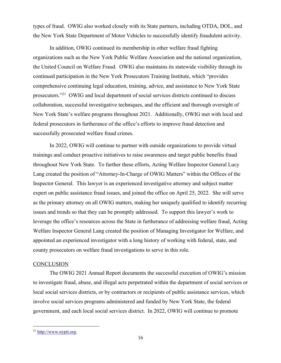types of fraud. OWIG also worked closely with its State partners, including OTDA, DOL, and the New York State Department of Motor Vehicles to successfully identify fraudulent activity.

In addition, OWIG continued its membership in other welfare fraud fighting organizations such as the New York Public Welfare Association and the national organization, the United Council on Welfare Fraud. OWIG also maintains its statewide visibility through its continued participation in the New York Prosecutors Training Institute, which "provides comprehensive continuing legal education, training, advice, and assistance to New York State prosecutors."21 OWIG and local department of social services districts continued to discuss collaboration, successful investigative techniques, and the efficient and thorough oversight of New York State's welfare programs throughout 2021. Additionally, OWIG met with local and federal prosecutors in furtherance of the office's efforts to improve fraud detection and successfully prosecuted welfare fraud crimes.

In 2022, OWIG will continue to partner with outside organizations to provide virtual trainings and conduct proactive initiatives to raise awareness and target public benefits fraud throughout New York State. To further these efforts, Acting Welfare Inspector General Lucy Lang created the position of "Attorney-In-Charge of OWIG Matters" within the Offices of the Inspector General. This lawyer is an experienced investigative attorney and subject matter expert on public assistance fraud issues, and joined the office on April 25, 2022. She will serve as the primary attorney on all OWIG matters, making her uniquely qualified to identify recurring issues and trends so that they can be promptly addressed. To support this lawyer's work to leverage the office's resources across the State in furtherance of addressing welfare fraud, Acting Welfare Inspector General Lang created the position of Managing Investigator for Welfare, and appointed an experienced investigator with a long history of working with federal, state, and county prosecutors on welfare fraud investigations to serve in this role.

#### **CONCLUSION**

The OWIG 2021 Annual Report documents the successful execution of OWIG's mission to investigate fraud, abuse, and illegal acts perpetrated within the department of social services or local social services districts, or by contractors or recipients of public assistance services, which involve social services programs administered and funded by New York State, the federal government, and each local social services district. In 2022, OWIG will continue to promote

<sup>21</sup> http://www.nypti.org.